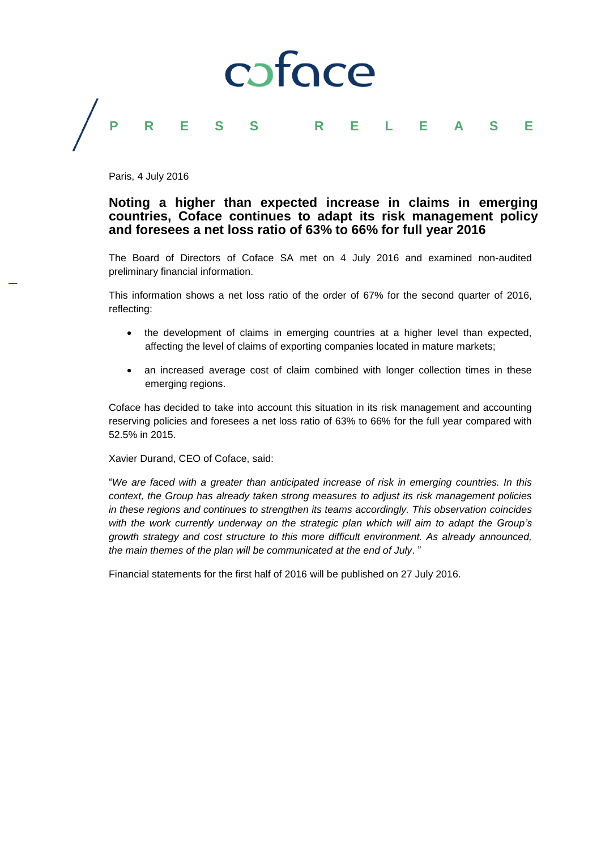

Paris, 4 July 2016

# **Noting a higher than expected increase in claims in emerging countries, Coface continues to adapt its risk management policy and foresees a net loss ratio of 63% to 66% for full year 2016**

The Board of Directors of Coface SA met on 4 July 2016 and examined non-audited preliminary financial information.

This information shows a net loss ratio of the order of 67% for the second quarter of 2016, reflecting:

- the development of claims in emerging countries at a higher level than expected, affecting the level of claims of exporting companies located in mature markets;
- an increased average cost of claim combined with longer collection times in these emerging regions.

Coface has decided to take into account this situation in its risk management and accounting reserving policies and foresees a net loss ratio of 63% to 66% for the full year compared with 52.5% in 2015.

Xavier Durand, CEO of Coface, said:

"*We are faced with a greater than anticipated increase of risk in emerging countries. In this context, the Group has already taken strong measures to adjust its risk management policies in these regions and continues to strengthen its teams accordingly. This observation coincides with the work currently underway on the strategic plan which will aim to adapt the Group's growth strategy and cost structure to this more difficult environment. As already announced, the main themes of the plan will be communicated at the end of July*. "

Financial statements for the first half of 2016 will be published on 27 July 2016.